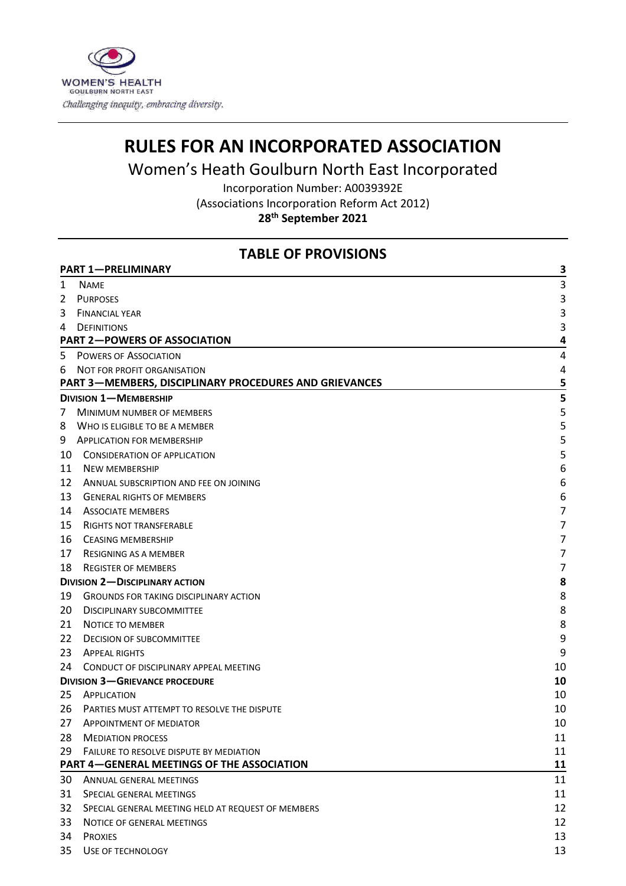

# **RULES FOR AN INCORPORATED ASSOCIATION**

Women's Heath Goulburn North East Incorporated

Incorporation Number: A0039392E (Associations Incorporation Reform Act 2012) **th September 2021**

# **TABLE OF PROVISIONS**

|                                     | <b>PART 1-PRELIMINARY</b>                                     | З  |
|-------------------------------------|---------------------------------------------------------------|----|
| 1                                   | <b>NAME</b>                                                   | 3  |
| 2                                   | <b>PURPOSES</b>                                               | 3  |
| 3                                   | <b>FINANCIAL YEAR</b>                                         | 3  |
| 4                                   | <b>DEFINITIONS</b>                                            | 3  |
| <b>PART 2-POWERS OF ASSOCIATION</b> |                                                               | 4  |
| 5                                   | <b>POWERS OF ASSOCIATION</b>                                  | 4  |
| 6                                   | NOT FOR PROFIT ORGANISATION                                   | 4  |
|                                     | <b>PART 3-MEMBERS, DISCIPLINARY PROCEDURES AND GRIEVANCES</b> | 5  |
|                                     | <b>DIVISION 1-MEMBERSHIP</b>                                  | 5  |
| 7                                   | <b>MINIMUM NUMBER OF MEMBERS</b>                              | 5  |
| 8                                   | WHO IS ELIGIBLE TO BE A MEMBER                                | 5  |
| 9                                   | <b>APPLICATION FOR MEMBERSHIP</b>                             | 5  |
| 10                                  | <b>CONSIDERATION OF APPLICATION</b>                           | 5  |
| 11                                  | <b>NEW MEMBERSHIP</b>                                         | 6  |
| 12                                  | ANNUAL SUBSCRIPTION AND FEE ON JOINING                        | 6  |
| 13                                  | <b>GENERAL RIGHTS OF MEMBERS</b>                              | 6  |
| 14                                  | <b>ASSOCIATE MEMBERS</b>                                      | 7  |
| 15                                  | <b>RIGHTS NOT TRANSFERABLE</b>                                | 7  |
| 16                                  | <b>CEASING MEMBERSHIP</b>                                     | 7  |
| 17                                  | RESIGNING AS A MEMBER                                         | 7  |
| 18                                  | <b>REGISTER OF MEMBERS</b>                                    | 7  |
|                                     | <b>DIVISION 2-DISCIPLINARY ACTION</b>                         | 8  |
| 19                                  | <b>GROUNDS FOR TAKING DISCIPLINARY ACTION</b>                 | 8  |
| 20                                  | <b>DISCIPLINARY SUBCOMMITTEE</b>                              | 8  |
| 21                                  | <b>NOTICE TO MEMBER</b>                                       | 8  |
| 22                                  | <b>DECISION OF SUBCOMMITTEE</b>                               | 9  |
| 23                                  | <b>APPEAL RIGHTS</b>                                          | 9  |
| 24                                  | CONDUCT OF DISCIPLINARY APPEAL MEETING                        | 10 |
|                                     | <b>DIVISION 3-GRIEVANCE PROCEDURE</b>                         | 10 |
| 25                                  | APPLICATION                                                   | 10 |
| 26                                  | PARTIES MUST ATTEMPT TO RESOLVE THE DISPUTE                   | 10 |
| 27                                  | <b>APPOINTMENT OF MEDIATOR</b>                                | 10 |
| 28                                  | <b>MEDIATION PROCESS</b>                                      | 11 |
| 29                                  | <b>FAILURE TO RESOLVE DISPUTE BY MEDIATION</b>                | 11 |
|                                     | <b>PART 4–GENERAL MEETINGS OF THE ASSOCIATION</b>             | 11 |
| 30                                  | ANNUAL GENERAL MEETINGS                                       | 11 |
| 31                                  | SPECIAL GENERAL MEETINGS                                      | 11 |
| 32                                  | SPECIAL GENERAL MEETING HELD AT REQUEST OF MEMBERS            | 12 |
| 33                                  | NOTICE OF GENERAL MEETINGS                                    | 12 |
| 34                                  | <b>PROXIES</b>                                                | 13 |
| 35                                  | USE OF TECHNOLOGY                                             | 13 |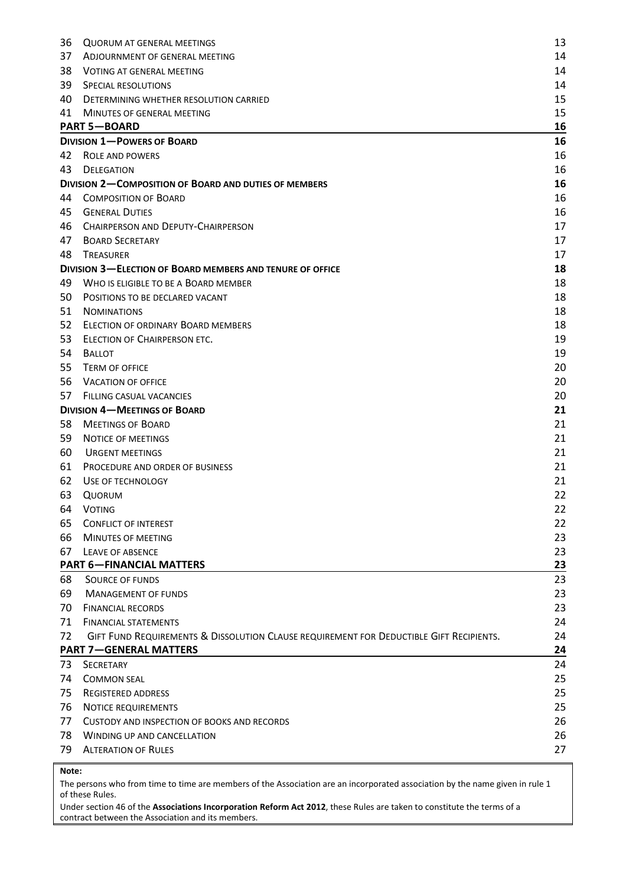| 36  | <b>QUORUM AT GENERAL MEETINGS</b>                                                       | 13 |
|-----|-----------------------------------------------------------------------------------------|----|
| 37  | ADJOURNMENT OF GENERAL MEETING                                                          | 14 |
| 38  | <b>VOTING AT GENERAL MEETING</b>                                                        | 14 |
| 39  | SPECIAL RESOLUTIONS                                                                     | 14 |
| 40  | DETERMINING WHETHER RESOLUTION CARRIED                                                  | 15 |
| 41  | MINUTES OF GENERAL MEETING                                                              | 15 |
|     | <b>PART 5-BOARD</b>                                                                     | 16 |
|     | <b>DIVISION 1-POWERS OF BOARD</b>                                                       | 16 |
| 42  | <b>ROLE AND POWERS</b>                                                                  | 16 |
| 43  | DELEGATION                                                                              | 16 |
|     | <b>DIVISION 2-COMPOSITION OF BOARD AND DUTIES OF MEMBERS</b>                            | 16 |
| 44  | <b>COMPOSITION OF BOARD</b>                                                             | 16 |
| 45  | <b>GENERAL DUTIES</b>                                                                   | 16 |
| 46  | CHAIRPERSON AND DEPUTY-CHAIRPERSON                                                      | 17 |
| 47  | <b>BOARD SECRETARY</b>                                                                  | 17 |
| 48  | <b>TREASURER</b>                                                                        | 17 |
|     | <b>DIVISION 3-ELECTION OF BOARD MEMBERS AND TENURE OF OFFICE</b>                        | 18 |
| 49  | WHO IS ELIGIBLE TO BE A BOARD MEMBER                                                    | 18 |
| 50  | POSITIONS TO BE DECLARED VACANT                                                         | 18 |
| 51  | <b>NOMINATIONS</b>                                                                      | 18 |
| 52  | ELECTION OF ORDINARY BOARD MEMBERS                                                      | 18 |
| 53  | ELECTION OF CHAIRPERSON ETC.                                                            | 19 |
| 54  | <b>BALLOT</b>                                                                           | 19 |
| 55  | <b>TERM OF OFFICE</b>                                                                   | 20 |
| 56  | <b>VACATION OF OFFICE</b>                                                               | 20 |
| 57. | <b>FILLING CASUAL VACANCIES</b>                                                         | 20 |
|     | <b>DIVISION 4-MEETINGS OF BOARD</b>                                                     | 21 |
| 58  | <b>MEETINGS OF BOARD</b>                                                                | 21 |
| 59  | NOTICE OF MEETINGS                                                                      | 21 |
| 60  | <b>URGENT MEETINGS</b>                                                                  | 21 |
| 61  | PROCEDURE AND ORDER OF BUSINESS                                                         | 21 |
| 62  | USE OF TECHNOLOGY                                                                       | 21 |
| 63  | QUORUM                                                                                  | 22 |
|     | 64 VOTING                                                                               | 22 |
| 65  | <b>CONFLICT OF INTEREST</b>                                                             | 22 |
| 66  | MINUTES OF MEETING                                                                      | 23 |
| 67  | LEAVE OF ABSENCE                                                                        | 23 |
|     | <b>PART 6-FINANCIAL MATTERS</b>                                                         | 23 |
| 68  | <b>SOURCE OF FUNDS</b>                                                                  | 23 |
| 69  | <b>MANAGEMENT OF FUNDS</b>                                                              | 23 |
| 70  | <b>FINANCIAL RECORDS</b>                                                                | 23 |
| 71  | <b>FINANCIAL STATEMENTS</b>                                                             | 24 |
| 72  | GIFT FUND REQUIREMENTS & DISSOLUTION CLAUSE REQUIREMENT FOR DEDUCTIBLE GIFT RECIPIENTS. | 24 |
|     | <b>PART 7-GENERAL MATTERS</b>                                                           | 24 |
| 73  | <b>SECRETARY</b>                                                                        | 24 |
| 74  | <b>COMMON SEAL</b>                                                                      | 25 |
| 75  | <b>REGISTERED ADDRESS</b>                                                               | 25 |
| 76  | NOTICE REQUIREMENTS                                                                     | 25 |
| 77  | CUSTODY AND INSPECTION OF BOOKS AND RECORDS                                             | 26 |
| 78  | <b>WINDING UP AND CANCELLATION</b>                                                      | 26 |
| 79  | <b>ALTERATION OF RULES</b>                                                              | 27 |

#### **Note:**

The persons who from time to time are members of the Association are an incorporated association by the name given in rule 1 of these Rules.

Under section 46 of the **Associations Incorporation Reform Act 2012**, these Rules are taken to constitute the terms of a contract between the Association and its members.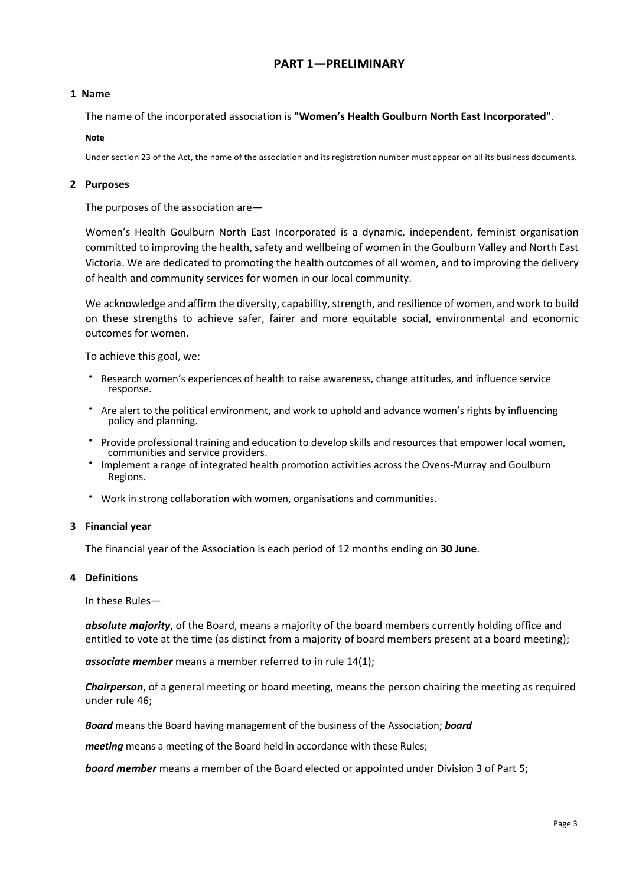# **PART 1—PRELIMINARY**

## <span id="page-2-0"></span>**1 Name**

The name of the incorporated association is **"Women's Health Goulburn North East Incorporated"**.

#### **Note**

Under section 23 of the Act, the name of the association and its registration number must appear on all its business documents.

## **2 Purposes**

The purposes of the association are—

Women's Health Goulburn North East Incorporated is a dynamic, independent, feminist organisation committed to improving the health, safety and wellbeing of women in the Goulburn Valley and North East Victoria. We are dedicated to promoting the health outcomes of all women, and to improving the delivery of health and community services for women in our local community.

We acknowledge and affirm the diversity, capability, strength, and resilience of women, and work to build on these strengths to achieve safer, fairer and more equitable social, environmental and economic outcomes for women.

To achieve this goal, we:

- Research women's experiences of health to raise awareness, change attitudes, and influence service response.
- Are alert to the political environment, and work to uphold and advance women's rights by influencing policy and planning.
- Provide professional training and education to develop skills and resources that empower local women, communities and service providers.
- Implement a range of integrated health promotion activities across the Ovens-Murray and Goulburn Regions.
- Work in strong collaboration with women, organisations and communities.

## **3 Financial year**

The financial year of the Association is each period of 12 months ending on **30 June**.

## **4 Definitions**

In these Rules—

*absolute majority*, of the Board, means a majority of the board members currently holding office and entitled to vote at the time (as distinct from a majority of board members present at a board meeting);

*associate member* means a member referred to in rule 14(1);

*Chairperson*, of a general meeting or board meeting, means the person chairing the meeting as required under rule 46;

*Board* means the Board having management of the business of the Association; *board* 

*meeting* means a meeting of the Board held in accordance with these Rules;

*board member* means a member of the Board elected or appointed under Division 3 of Part 5;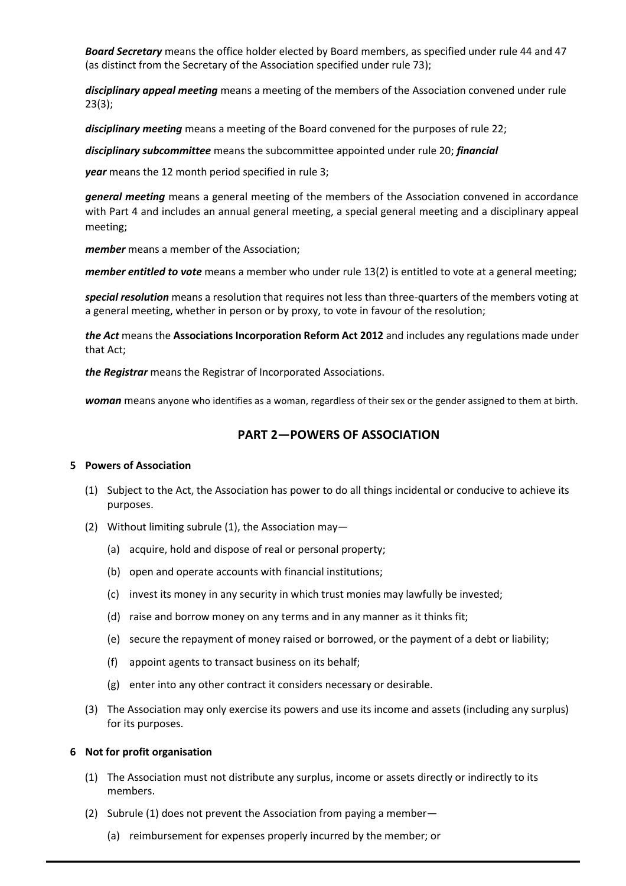<span id="page-3-0"></span>*Board Secretary* means the office holder elected by Board members, as specified under rule 44 and 47 (as distinct from the Secretary of the Association specified under rule 73);

*disciplinary appeal meeting* means a meeting of the members of the Association convened under rule 23(3);

*disciplinary meeting* means a meeting of the Board convened for the purposes of rule 22;

*disciplinary subcommittee* means the subcommittee appointed under rule 20; *financial* 

*year* means the 12 month period specified in rule 3;

*general meeting* means a general meeting of the members of the Association convened in accordance with Part 4 and includes an annual general meeting, a special general meeting and a disciplinary appeal meeting;

*member* means a member of the Association;

*member entitled to vote* means a member who under rule 13(2) is entitled to vote at a general meeting;

*special resolution* means a resolution that requires not less than three-quarters of the members voting at a general meeting, whether in person or by proxy, to vote in favour of the resolution;

*the Act* means the **Associations Incorporation Reform Act 2012** and includes any regulations made under that Act;

*the Registrar* means the Registrar of Incorporated Associations.

*woman* means anyone who identifies as a woman, regardless of their sex or the gender assigned to them at birth*.*

# **PART 2—POWERS OF ASSOCIATION**

#### **5 Powers of Association**

- (1) Subject to the Act, the Association has power to do all things incidental or conducive to achieve its purposes.
- (2) Without limiting subrule (1), the Association may—
	- (a) acquire, hold and dispose of real or personal property;
	- (b) open and operate accounts with financial institutions;
	- (c) invest its money in any security in which trust monies may lawfully be invested;
	- (d) raise and borrow money on any terms and in any manner as it thinks fit;
	- (e) secure the repayment of money raised or borrowed, or the payment of a debt or liability;
	- (f) appoint agents to transact business on its behalf;
	- (g) enter into any other contract it considers necessary or desirable.
- (3) The Association may only exercise its powers and use its income and assets (including any surplus) for its purposes.

#### **6 Not for profit organisation**

- (1) The Association must not distribute any surplus, income or assets directly or indirectly to its members.
- (2) Subrule (1) does not prevent the Association from paying a member—
	- (a) reimbursement for expenses properly incurred by the member; or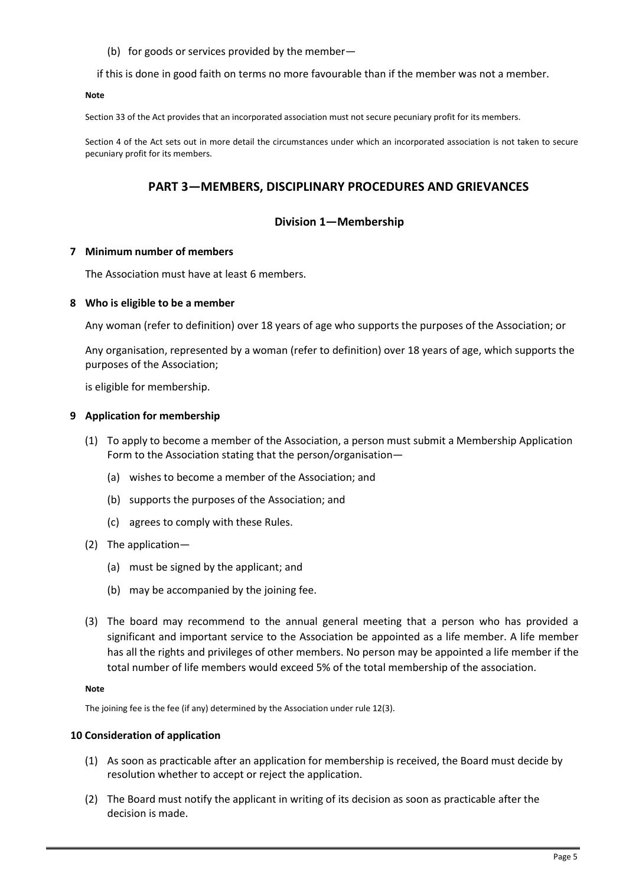(b) for goods or services provided by the member—

<span id="page-4-0"></span>if this is done in good faith on terms no more favourable than if the member was not a member.

**Note**

Section 33 of the Act provides that an incorporated association must not secure pecuniary profit for its members.

Section 4 of the Act sets out in more detail the circumstances under which an incorporated association is not taken to secure pecuniary profit for its members.

# **PART 3—MEMBERS, DISCIPLINARY PROCEDURES AND GRIEVANCES**

## **Division 1—Membership**

#### **7 Minimum number of members**

The Association must have at least 6 members.

#### **8 Who is eligible to be a member**

Any woman (refer to definition) over 18 years of age who supports the purposes of the Association; or

Any organisation, represented by a woman (refer to definition) over 18 years of age, which supports the purposes of the Association;

is eligible for membership.

#### **9 Application for membership**

- (1) To apply to become a member of the Association, a person must submit a Membership Application Form to the Association stating that the person/organisation—
	- (a) wishes to become a member of the Association; and
	- (b) supports the purposes of the Association; and
	- (c) agrees to comply with these Rules.
- (2) The application—
	- (a) must be signed by the applicant; and
	- (b) may be accompanied by the joining fee.
- (3) The board may recommend to the annual general meeting that a person who has provided a significant and important service to the Association be appointed as a life member. A life member has all the rights and privileges of other members. No person may be appointed a life member if the total number of life members would exceed 5% of the total membership of the association.

#### **Note**

The joining fee is the fee (if any) determined by the Association under rule 12(3).

#### **10 Consideration of application**

- (1) As soon as practicable after an application for membership is received, the Board must decide by resolution whether to accept or reject the application.
- (2) The Board must notify the applicant in writing of its decision as soon as practicable after the decision is made.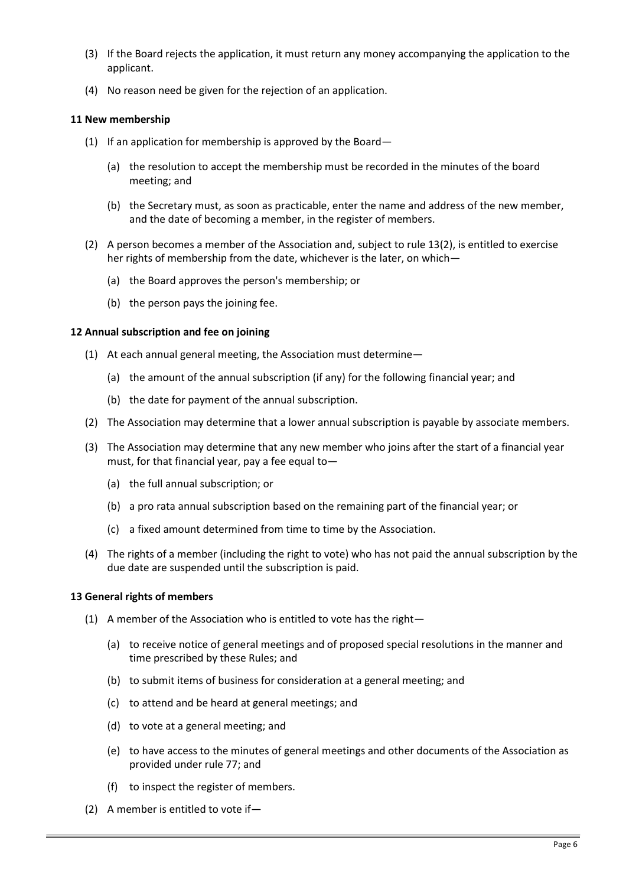- <span id="page-5-0"></span>(3) If the Board rejects the application, it must return any money accompanying the application to the applicant.
- (4) No reason need be given for the rejection of an application.

## **11 New membership**

- (1) If an application for membership is approved by the Board—
	- (a) the resolution to accept the membership must be recorded in the minutes of the board meeting; and
	- (b) the Secretary must, as soon as practicable, enter the name and address of the new member, and the date of becoming a member, in the register of members.
- (2) A person becomes a member of the Association and, subject to rule 13(2), is entitled to exercise her rights of membership from the date, whichever is the later, on which—
	- (a) the Board approves the person's membership; or
	- (b) the person pays the joining fee.

## **12 Annual subscription and fee on joining**

- (1) At each annual general meeting, the Association must determine—
	- (a) the amount of the annual subscription (if any) for the following financial year; and
	- (b) the date for payment of the annual subscription.
- (2) The Association may determine that a lower annual subscription is payable by associate members.
- (3) The Association may determine that any new member who joins after the start of a financial year must, for that financial year, pay a fee equal to—
	- (a) the full annual subscription; or
	- (b) a pro rata annual subscription based on the remaining part of the financial year; or
	- (c) a fixed amount determined from time to time by the Association.
- (4) The rights of a member (including the right to vote) who has not paid the annual subscription by the due date are suspended until the subscription is paid.

## **13 General rights of members**

- (1) A member of the Association who is entitled to vote has the right—
	- (a) to receive notice of general meetings and of proposed special resolutions in the manner and time prescribed by these Rules; and
	- (b) to submit items of business for consideration at a general meeting; and
	- (c) to attend and be heard at general meetings; and
	- (d) to vote at a general meeting; and
	- (e) to have access to the minutes of general meetings and other documents of the Association as provided under rule 77; and
	- (f) to inspect the register of members.
- (2) A member is entitled to vote if—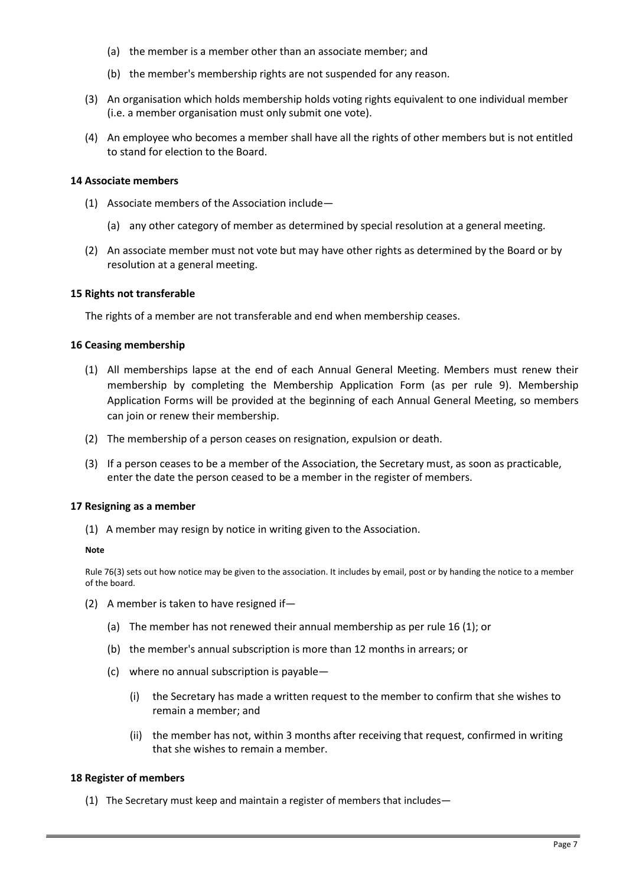- <span id="page-6-0"></span>(a) the member is a member other than an associate member; and
- (b) the member's membership rights are not suspended for any reason.
- (3) An organisation which holds membership holds voting rights equivalent to one individual member (i.e. a member organisation must only submit one vote).
- (4) An employee who becomes a member shall have all the rights of other members but is not entitled to stand for election to the Board.

#### **14 Associate members**

- (1) Associate members of the Association include—
	- (a) any other category of member as determined by special resolution at a general meeting.
- (2) An associate member must not vote but may have other rights as determined by the Board or by resolution at a general meeting.

#### **15 Rights not transferable**

The rights of a member are not transferable and end when membership ceases.

#### **16 Ceasing membership**

- (1) All memberships lapse at the end of each Annual General Meeting. Members must renew their membership by completing the Membership Application Form (as per rule 9). Membership Application Forms will be provided at the beginning of each Annual General Meeting, so members can join or renew their membership.
- (2) The membership of a person ceases on resignation, expulsion or death.
- (3) If a person ceases to be a member of the Association, the Secretary must, as soon as practicable, enter the date the person ceased to be a member in the register of members.

## **17 Resigning as a member**

(1) A member may resign by notice in writing given to the Association.

#### **Note**

Rule 76(3) sets out how notice may be given to the association. It includes by email, post or by handing the notice to a member of the board.

- (2) A member is taken to have resigned if—
	- (a) The member has not renewed their annual membership as per rule 16 (1); or
	- (b) the member's annual subscription is more than 12 months in arrears; or
	- (c) where no annual subscription is payable—
		- (i) the Secretary has made a written request to the member to confirm that she wishes to remain a member; and
		- (ii) the member has not, within 3 months after receiving that request, confirmed in writing that she wishes to remain a member.

## **18 Register of members**

(1) The Secretary must keep and maintain a register of members that includes—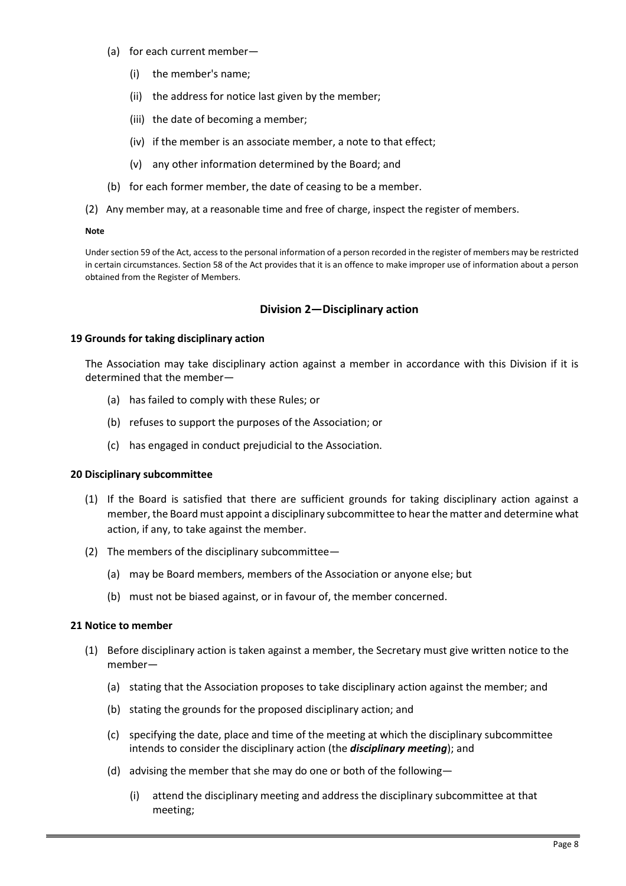- <span id="page-7-0"></span>(a) for each current member—
	- (i) the member's name;
	- (ii) the address for notice last given by the member;
	- (iii) the date of becoming a member;
	- (iv) if the member is an associate member, a note to that effect;
	- (v) any other information determined by the Board; and
- (b) for each former member, the date of ceasing to be a member.
- (2) Any member may, at a reasonable time and free of charge, inspect the register of members.

#### **Note**

Under section 59 of the Act, access to the personal information of a person recorded in the register of members may be restricted in certain circumstances. Section 58 of the Act provides that it is an offence to make improper use of information about a person obtained from the Register of Members.

## **Division 2—Disciplinary action**

#### **19 Grounds for taking disciplinary action**

The Association may take disciplinary action against a member in accordance with this Division if it is determined that the member—

- (a) has failed to comply with these Rules; or
- (b) refuses to support the purposes of the Association; or
- (c) has engaged in conduct prejudicial to the Association.

#### **20 Disciplinary subcommittee**

- (1) If the Board is satisfied that there are sufficient grounds for taking disciplinary action against a member, the Board must appoint a disciplinary subcommittee to hear the matter and determine what action, if any, to take against the member.
- (2) The members of the disciplinary subcommittee—
	- (a) may be Board members, members of the Association or anyone else; but
	- (b) must not be biased against, or in favour of, the member concerned.

#### **21 Notice to member**

- (1) Before disciplinary action is taken against a member, the Secretary must give written notice to the member—
	- (a) stating that the Association proposes to take disciplinary action against the member; and
	- (b) stating the grounds for the proposed disciplinary action; and
	- (c) specifying the date, place and time of the meeting at which the disciplinary subcommittee intends to consider the disciplinary action (the *disciplinary meeting*); and
	- (d) advising the member that she may do one or both of the following—
		- (i) attend the disciplinary meeting and address the disciplinary subcommittee at that meeting;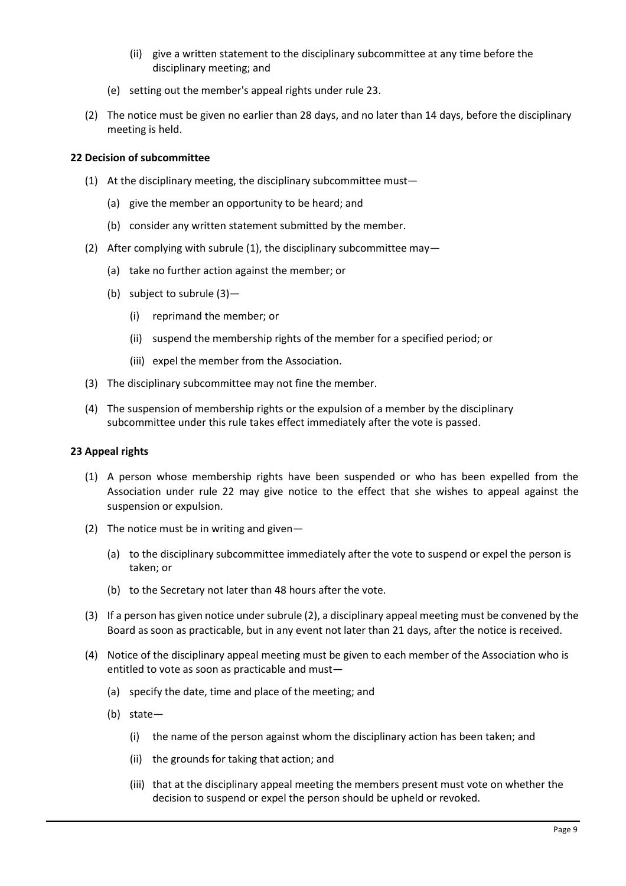- (ii) give a written statement to the disciplinary subcommittee at any time before the disciplinary meeting; and
- <span id="page-8-0"></span>(e) setting out the member's appeal rights under rule 23.
- (2) The notice must be given no earlier than 28 days, and no later than 14 days, before the disciplinary meeting is held.

# **22 Decision of subcommittee**

- (1) At the disciplinary meeting, the disciplinary subcommittee must—
	- (a) give the member an opportunity to be heard; and
	- (b) consider any written statement submitted by the member.
- (2) After complying with subrule (1), the disciplinary subcommittee may—
	- (a) take no further action against the member; or
	- (b) subject to subrule (3)—
		- (i) reprimand the member; or
		- (ii) suspend the membership rights of the member for a specified period; or
		- (iii) expel the member from the Association.
- (3) The disciplinary subcommittee may not fine the member.
- (4) The suspension of membership rights or the expulsion of a member by the disciplinary subcommittee under this rule takes effect immediately after the vote is passed.

## **23 Appeal rights**

- (1) A person whose membership rights have been suspended or who has been expelled from the Association under rule 22 may give notice to the effect that she wishes to appeal against the suspension or expulsion.
- (2) The notice must be in writing and given—
	- (a) to the disciplinary subcommittee immediately after the vote to suspend or expel the person is taken; or
	- (b) to the Secretary not later than 48 hours after the vote.
- (3) If a person has given notice under subrule (2), a disciplinary appeal meeting must be convened by the Board as soon as practicable, but in any event not later than 21 days, after the notice is received.
- (4) Notice of the disciplinary appeal meeting must be given to each member of the Association who is entitled to vote as soon as practicable and must—
	- (a) specify the date, time and place of the meeting; and
	- (b) state—
		- (i) the name of the person against whom the disciplinary action has been taken; and
		- (ii) the grounds for taking that action; and
		- (iii) that at the disciplinary appeal meeting the members present must vote on whether the decision to suspend or expel the person should be upheld or revoked.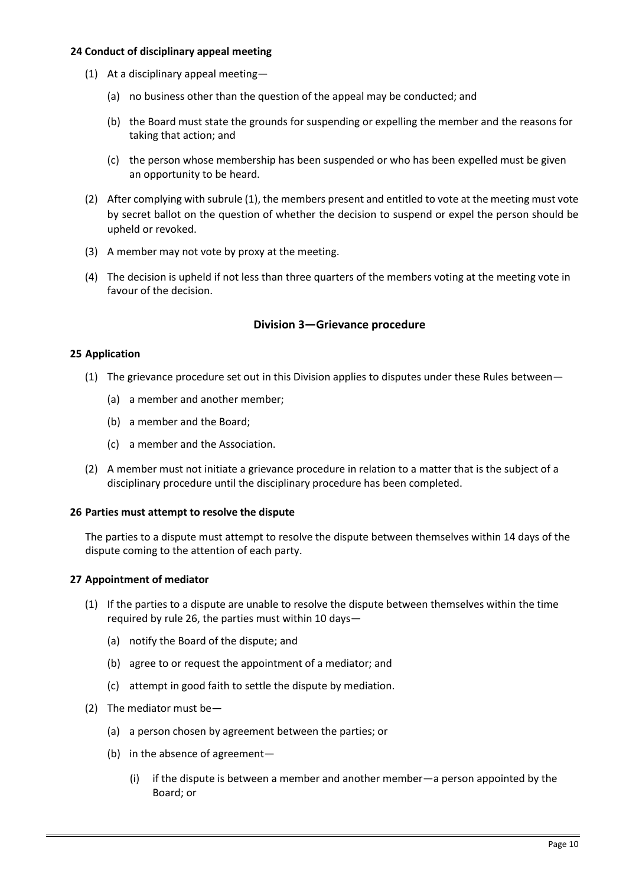## <span id="page-9-0"></span>**24 Conduct of disciplinary appeal meeting**

- (1) At a disciplinary appeal meeting—
	- (a) no business other than the question of the appeal may be conducted; and
	- (b) the Board must state the grounds for suspending or expelling the member and the reasons for taking that action; and
	- (c) the person whose membership has been suspended or who has been expelled must be given an opportunity to be heard.
- (2) After complying with subrule (1), the members present and entitled to vote at the meeting must vote by secret ballot on the question of whether the decision to suspend or expel the person should be upheld or revoked.
- (3) A member may not vote by proxy at the meeting.
- (4) The decision is upheld if not less than three quarters of the members voting at the meeting vote in favour of the decision.

## **Division 3—Grievance procedure**

#### **25 Application**

- (1) The grievance procedure set out in this Division applies to disputes under these Rules between—
	- (a) a member and another member;
	- (b) a member and the Board;
	- (c) a member and the Association.
- (2) A member must not initiate a grievance procedure in relation to a matter that is the subject of a disciplinary procedure until the disciplinary procedure has been completed.

#### **26 Parties must attempt to resolve the dispute**

The parties to a dispute must attempt to resolve the dispute between themselves within 14 days of the dispute coming to the attention of each party.

## **27 Appointment of mediator**

- (1) If the parties to a dispute are unable to resolve the dispute between themselves within the time required by rule 26, the parties must within 10 days—
	- (a) notify the Board of the dispute; and
	- (b) agree to or request the appointment of a mediator; and
	- (c) attempt in good faith to settle the dispute by mediation.
- (2) The mediator must be—
	- (a) a person chosen by agreement between the parties; or
	- (b) in the absence of agreement—
		- (i) if the dispute is between a member and another member—a person appointed by the Board; or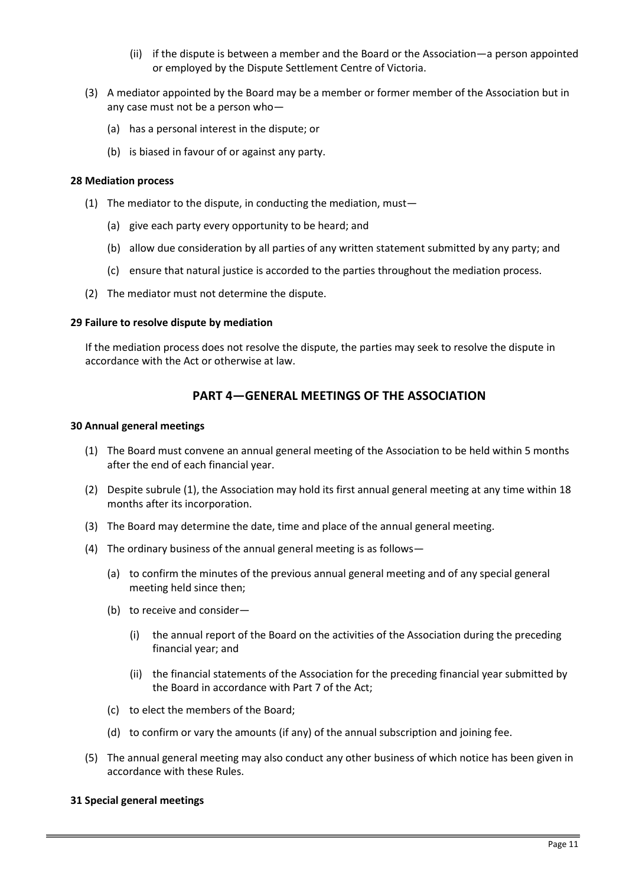- (ii) if the dispute is between a member and the Board or the Association—a person appointed or employed by the Dispute Settlement Centre of Victoria.
- <span id="page-10-0"></span>(3) A mediator appointed by the Board may be a member or former member of the Association but in any case must not be a person who—
	- (a) has a personal interest in the dispute; or
	- (b) is biased in favour of or against any party.

#### **28 Mediation process**

- (1) The mediator to the dispute, in conducting the mediation, must—
	- (a) give each party every opportunity to be heard; and
	- (b) allow due consideration by all parties of any written statement submitted by any party; and
	- (c) ensure that natural justice is accorded to the parties throughout the mediation process.
- (2) The mediator must not determine the dispute.

#### **29 Failure to resolve dispute by mediation**

If the mediation process does not resolve the dispute, the parties may seek to resolve the dispute in accordance with the Act or otherwise at law.

# **PART 4—GENERAL MEETINGS OF THE ASSOCIATION**

#### **30 Annual general meetings**

- (1) The Board must convene an annual general meeting of the Association to be held within 5 months after the end of each financial year.
- (2) Despite subrule (1), the Association may hold its first annual general meeting at any time within 18 months after its incorporation.
- (3) The Board may determine the date, time and place of the annual general meeting.
- (4) The ordinary business of the annual general meeting is as follows—
	- (a) to confirm the minutes of the previous annual general meeting and of any special general meeting held since then;
	- (b) to receive and consider—
		- (i) the annual report of the Board on the activities of the Association during the preceding financial year; and
		- (ii) the financial statements of the Association for the preceding financial year submitted by the Board in accordance with Part 7 of the Act;
	- (c) to elect the members of the Board;
	- (d) to confirm or vary the amounts (if any) of the annual subscription and joining fee.
- (5) The annual general meeting may also conduct any other business of which notice has been given in accordance with these Rules.

## **31 Special general meetings**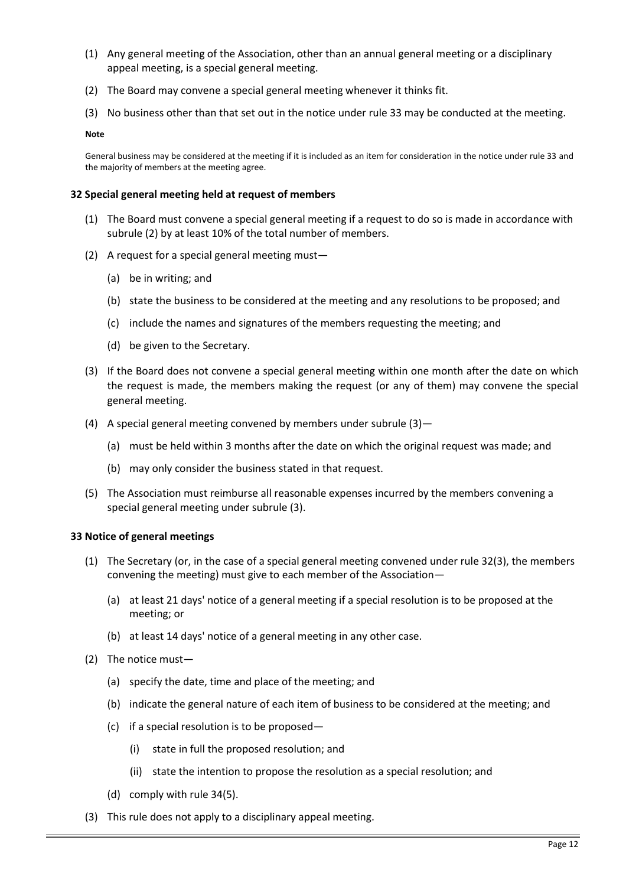- <span id="page-11-0"></span>(1) Any general meeting of the Association, other than an annual general meeting or a disciplinary appeal meeting, is a special general meeting.
- (2) The Board may convene a special general meeting whenever it thinks fit.
- (3) No business other than that set out in the notice under rule 33 may be conducted at the meeting.

**Note**

General business may be considered at the meeting if it is included as an item for consideration in the notice under rule 33 and the majority of members at the meeting agree.

#### **32 Special general meeting held at request of members**

- (1) The Board must convene a special general meeting if a request to do so is made in accordance with subrule (2) by at least 10% of the total number of members.
- (2) A request for a special general meeting must—
	- (a) be in writing; and
	- (b) state the business to be considered at the meeting and any resolutions to be proposed; and
	- (c) include the names and signatures of the members requesting the meeting; and
	- (d) be given to the Secretary.
- (3) If the Board does not convene a special general meeting within one month after the date on which the request is made, the members making the request (or any of them) may convene the special general meeting.
- (4) A special general meeting convened by members under subrule (3)—
	- (a) must be held within 3 months after the date on which the original request was made; and
	- (b) may only consider the business stated in that request.
- (5) The Association must reimburse all reasonable expenses incurred by the members convening a special general meeting under subrule (3).

#### **33 Notice of general meetings**

- (1) The Secretary (or, in the case of a special general meeting convened under rule 32(3), the members convening the meeting) must give to each member of the Association—
	- (a) at least 21 days' notice of a general meeting if a special resolution is to be proposed at the meeting; or
	- (b) at least 14 days' notice of a general meeting in any other case.
- (2) The notice must—
	- (a) specify the date, time and place of the meeting; and
	- (b) indicate the general nature of each item of business to be considered at the meeting; and
	- (c) if a special resolution is to be proposed—
		- (i) state in full the proposed resolution; and
		- (ii) state the intention to propose the resolution as a special resolution; and
	- (d) comply with rule 34(5).
- (3) This rule does not apply to a disciplinary appeal meeting.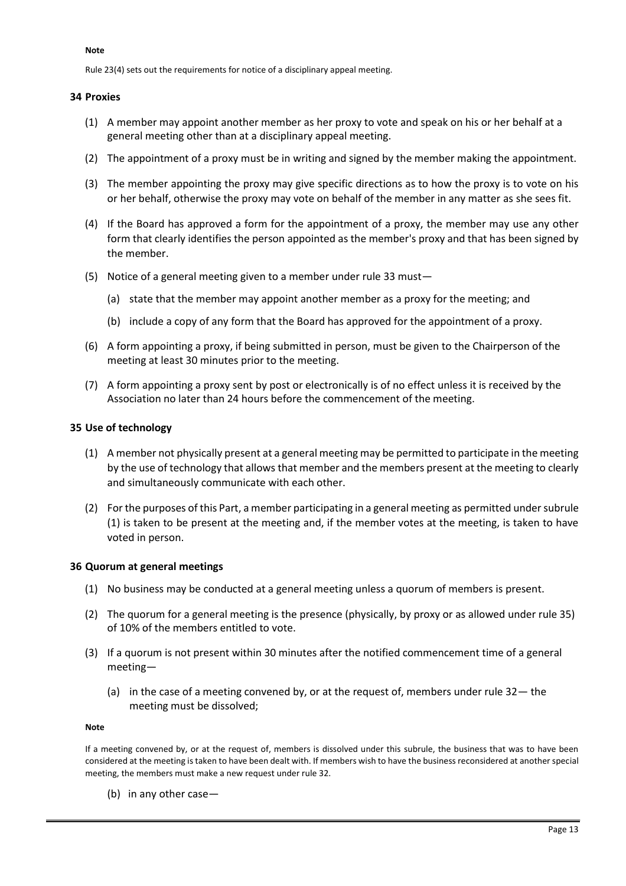#### <span id="page-12-0"></span>**Note**

Rule 23(4) sets out the requirements for notice of a disciplinary appeal meeting.

#### **34 Proxies**

- (1) A member may appoint another member as her proxy to vote and speak on his or her behalf at a general meeting other than at a disciplinary appeal meeting.
- (2) The appointment of a proxy must be in writing and signed by the member making the appointment.
- (3) The member appointing the proxy may give specific directions as to how the proxy is to vote on his or her behalf, otherwise the proxy may vote on behalf of the member in any matter as she sees fit.
- (4) If the Board has approved a form for the appointment of a proxy, the member may use any other form that clearly identifies the person appointed as the member's proxy and that has been signed by the member.
- (5) Notice of a general meeting given to a member under rule 33 must—
	- (a) state that the member may appoint another member as a proxy for the meeting; and
	- (b) include a copy of any form that the Board has approved for the appointment of a proxy.
- (6) A form appointing a proxy, if being submitted in person, must be given to the Chairperson of the meeting at least 30 minutes prior to the meeting.
- (7) A form appointing a proxy sent by post or electronically is of no effect unless it is received by the Association no later than 24 hours before the commencement of the meeting.

#### **35 Use of technology**

- (1) A member not physically present at a general meeting may be permitted to participate in the meeting by the use of technology that allows that member and the members present at the meeting to clearly and simultaneously communicate with each other.
- (2) For the purposes of this Part, a member participating in a general meeting as permitted under subrule (1) is taken to be present at the meeting and, if the member votes at the meeting, is taken to have voted in person.

#### **36 Quorum at general meetings**

- (1) No business may be conducted at a general meeting unless a quorum of members is present.
- (2) The quorum for a general meeting is the presence (physically, by proxy or as allowed under rule 35) of 10% of the members entitled to vote.
- (3) If a quorum is not present within 30 minutes after the notified commencement time of a general meeting—
	- (a) in the case of a meeting convened by, or at the request of, members under rule 32— the meeting must be dissolved;

#### **Note**

If a meeting convened by, or at the request of, members is dissolved under this subrule, the business that was to have been considered at the meeting is taken to have been dealt with. If members wish to have the business reconsidered at another special meeting, the members must make a new request under rule 32.

(b) in any other case—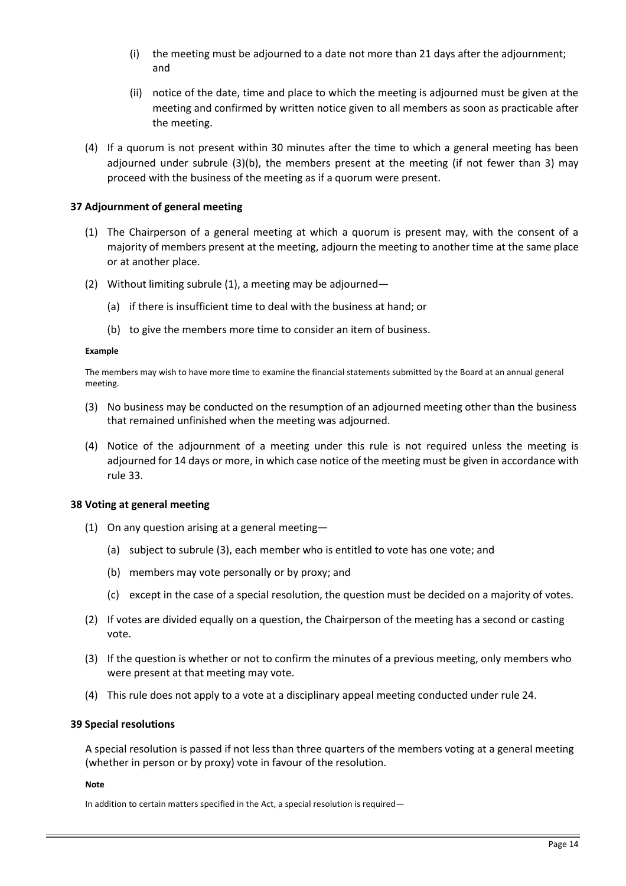- <span id="page-13-0"></span>(i) the meeting must be adjourned to a date not more than 21 days after the adjournment; and
- (ii) notice of the date, time and place to which the meeting is adjourned must be given at the meeting and confirmed by written notice given to all members as soon as practicable after the meeting.
- (4) If a quorum is not present within 30 minutes after the time to which a general meeting has been adjourned under subrule (3)(b), the members present at the meeting (if not fewer than 3) may proceed with the business of the meeting as if a quorum were present.

## **37 Adjournment of general meeting**

- (1) The Chairperson of a general meeting at which a quorum is present may, with the consent of a majority of members present at the meeting, adjourn the meeting to another time at the same place or at another place.
- (2) Without limiting subrule (1), a meeting may be adjourned—
	- (a) if there is insufficient time to deal with the business at hand; or
	- (b) to give the members more time to consider an item of business.

#### **Example**

The members may wish to have more time to examine the financial statements submitted by the Board at an annual general meeting.

- (3) No business may be conducted on the resumption of an adjourned meeting other than the business that remained unfinished when the meeting was adjourned.
- (4) Notice of the adjournment of a meeting under this rule is not required unless the meeting is adjourned for 14 days or more, in which case notice of the meeting must be given in accordance with rule 33.

#### **38 Voting at general meeting**

- (1) On any question arising at a general meeting—
	- (a) subject to subrule (3), each member who is entitled to vote has one vote; and
	- (b) members may vote personally or by proxy; and
	- (c) except in the case of a special resolution, the question must be decided on a majority of votes.
- (2) If votes are divided equally on a question, the Chairperson of the meeting has a second or casting vote.
- (3) If the question is whether or not to confirm the minutes of a previous meeting, only members who were present at that meeting may vote.
- (4) This rule does not apply to a vote at a disciplinary appeal meeting conducted under rule 24.

## **39 Special resolutions**

A special resolution is passed if not less than three quarters of the members voting at a general meeting (whether in person or by proxy) vote in favour of the resolution.

#### **Note**

In addition to certain matters specified in the Act, a special resolution is required—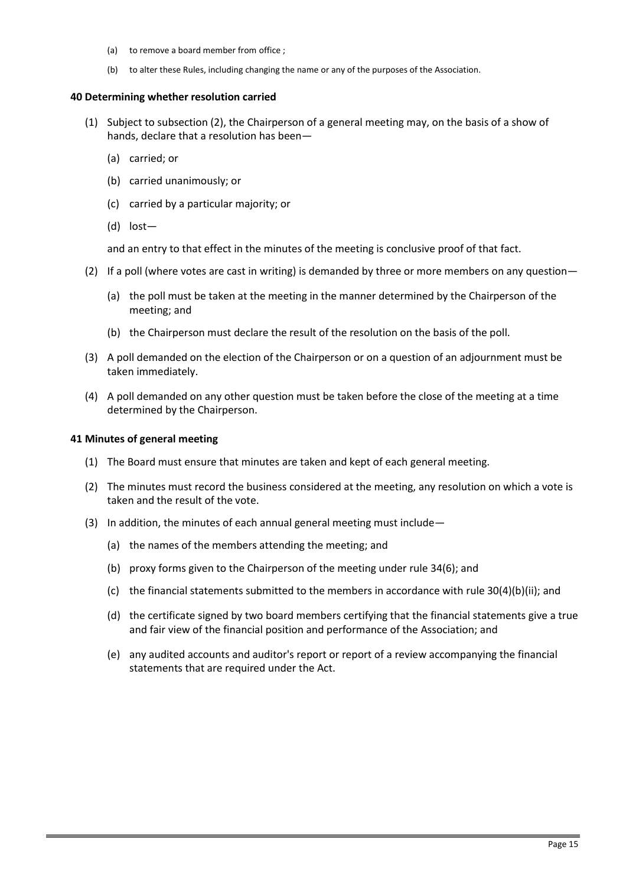- <span id="page-14-0"></span>(a) to remove a board member from office ;
- (b) to alter these Rules, including changing the name or any of the purposes of the Association.

#### **40 Determining whether resolution carried**

- (1) Subject to subsection (2), the Chairperson of a general meeting may, on the basis of a show of hands, declare that a resolution has been—
	- (a) carried; or
	- (b) carried unanimously; or
	- (c) carried by a particular majority; or
	- (d) lost—

and an entry to that effect in the minutes of the meeting is conclusive proof of that fact.

- (2) If a poll (where votes are cast in writing) is demanded by three or more members on any question—
	- (a) the poll must be taken at the meeting in the manner determined by the Chairperson of the meeting; and
	- (b) the Chairperson must declare the result of the resolution on the basis of the poll.
- (3) A poll demanded on the election of the Chairperson or on a question of an adjournment must be taken immediately.
- (4) A poll demanded on any other question must be taken before the close of the meeting at a time determined by the Chairperson.

#### **41 Minutes of general meeting**

- (1) The Board must ensure that minutes are taken and kept of each general meeting.
- (2) The minutes must record the business considered at the meeting, any resolution on which a vote is taken and the result of the vote.
- (3) In addition, the minutes of each annual general meeting must include—
	- (a) the names of the members attending the meeting; and
	- (b) proxy forms given to the Chairperson of the meeting under rule 34(6); and
	- (c) the financial statements submitted to the members in accordance with rule 30(4)(b)(ii); and
	- (d) the certificate signed by two board members certifying that the financial statements give a true and fair view of the financial position and performance of the Association; and
	- (e) any audited accounts and auditor's report or report of a review accompanying the financial statements that are required under the Act.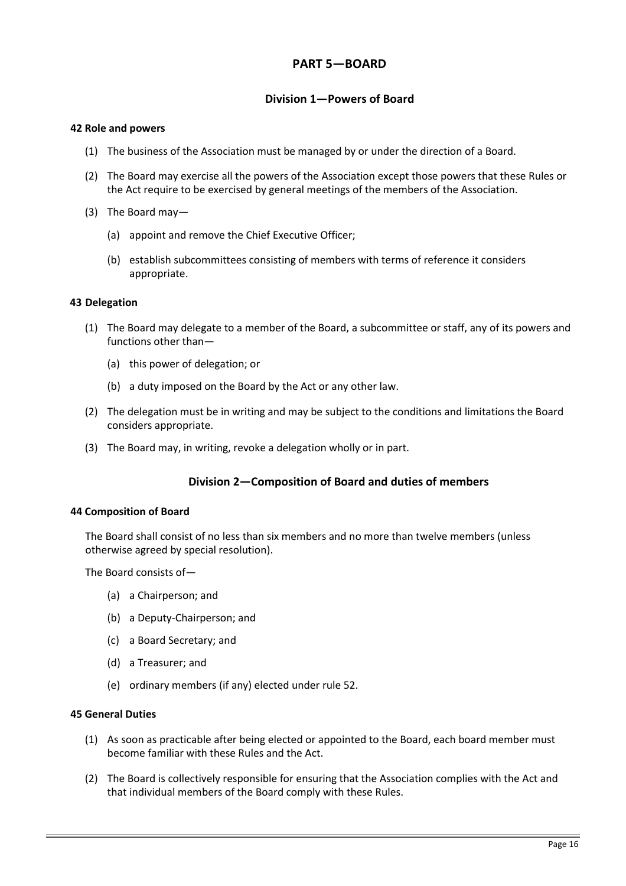# **PART 5—BOARD**

## **Division 1—Powers of Board**

#### <span id="page-15-0"></span>**42 Role and powers**

- (1) The business of the Association must be managed by or under the direction of a Board.
- (2) The Board may exercise all the powers of the Association except those powers that these Rules or the Act require to be exercised by general meetings of the members of the Association.
- (3) The Board may—
	- (a) appoint and remove the Chief Executive Officer;
	- (b) establish subcommittees consisting of members with terms of reference it considers appropriate.

## **43 Delegation**

- (1) The Board may delegate to a member of the Board, a subcommittee or staff, any of its powers and functions other than—
	- (a) this power of delegation; or
	- (b) a duty imposed on the Board by the Act or any other law.
- (2) The delegation must be in writing and may be subject to the conditions and limitations the Board considers appropriate.
- (3) The Board may, in writing, revoke a delegation wholly or in part.

## **Division 2—Composition of Board and duties of members**

#### **44 Composition of Board**

The Board shall consist of no less than six members and no more than twelve members (unless otherwise agreed by special resolution).

The Board consists of—

- (a) a Chairperson; and
- (b) a Deputy-Chairperson; and
- (c) a Board Secretary; and
- (d) a Treasurer; and
- (e) ordinary members (if any) elected under rule 52.

#### **45 General Duties**

- (1) As soon as practicable after being elected or appointed to the Board, each board member must become familiar with these Rules and the Act.
- (2) The Board is collectively responsible for ensuring that the Association complies with the Act and that individual members of the Board comply with these Rules.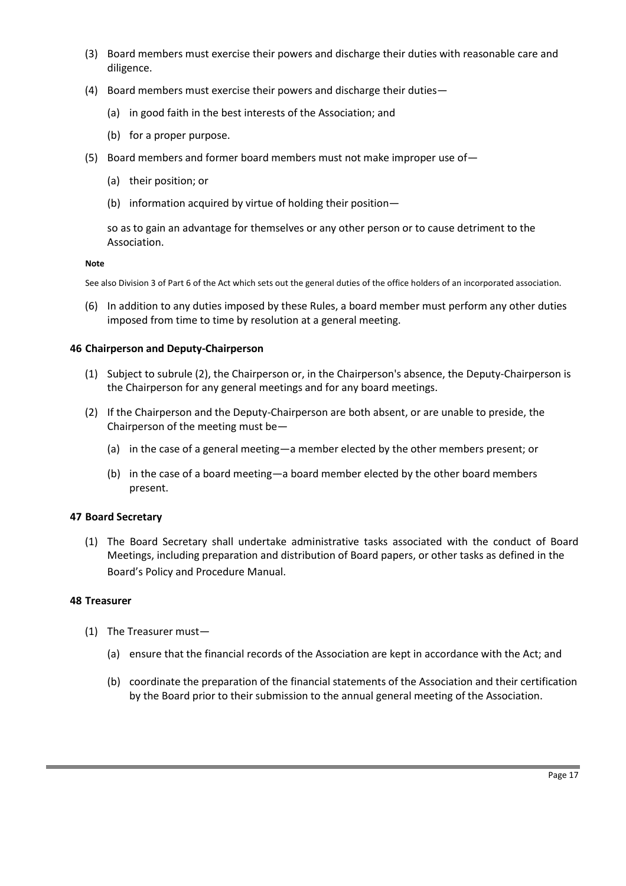- <span id="page-16-0"></span>(3) Board members must exercise their powers and discharge their duties with reasonable care and diligence.
- (4) Board members must exercise their powers and discharge their duties—
	- (a) in good faith in the best interests of the Association; and
	- (b) for a proper purpose.
- (5) Board members and former board members must not make improper use of—
	- (a) their position; or
	- (b) information acquired by virtue of holding their position—

so as to gain an advantage for themselves or any other person or to cause detriment to the Association.

#### **Note**

See also Division 3 of Part 6 of the Act which sets out the general duties of the office holders of an incorporated association.

(6) In addition to any duties imposed by these Rules, a board member must perform any other duties imposed from time to time by resolution at a general meeting.

## **46 Chairperson and Deputy-Chairperson**

- (1) Subject to subrule (2), the Chairperson or, in the Chairperson's absence, the Deputy-Chairperson is the Chairperson for any general meetings and for any board meetings.
- (2) If the Chairperson and the Deputy-Chairperson are both absent, or are unable to preside, the Chairperson of the meeting must be—
	- (a) in the case of a general meeting—a member elected by the other members present; or
	- (b) in the case of a board meeting—a board member elected by the other board members present.

## **47 Board Secretary**

(1) The Board Secretary shall undertake administrative tasks associated with the conduct of Board Meetings, including preparation and distribution of Board papers, or other tasks as defined in the Board's Policy and Procedure Manual.

## **48 Treasurer**

- (1) The Treasurer must—
	- (a) ensure that the financial records of the Association are kept in accordance with the Act; and
	- (b) coordinate the preparation of the financial statements of the Association and their certification by the Board prior to their submission to the annual general meeting of the Association.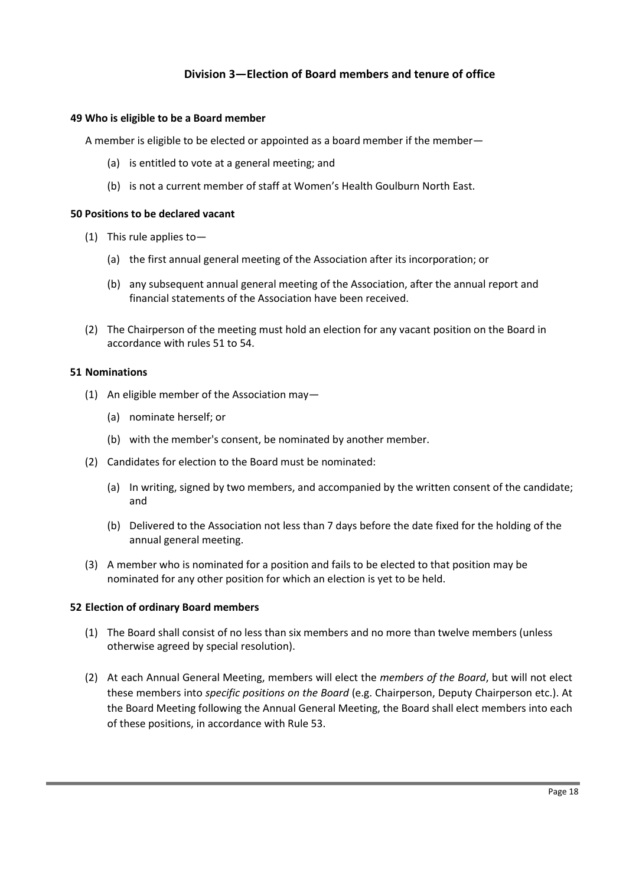# **Division 3—Election of Board members and tenure of office**

#### **49 Who is eligible to be a Board member**

A member is eligible to be elected or appointed as a board member if the member—

- (a) is entitled to vote at a general meeting; and
- (b) is not a current member of staff at Women's Health Goulburn North East.

#### **50 Positions to be declared vacant**

- (1) This rule applies to—
	- (a) the first annual general meeting of the Association after its incorporation; or
	- (b) any subsequent annual general meeting of the Association, after the annual report and financial statements of the Association have been received.
- (2) The Chairperson of the meeting must hold an election for any vacant position on the Board in accordance with rules 51 to 54.

#### **51 Nominations**

- (1) An eligible member of the Association may—
	- (a) nominate herself; or
	- (b) with the member's consent, be nominated by another member.
- (2) Candidates for election to the Board must be nominated:
	- (a) In writing, signed by two members, and accompanied by the written consent of the candidate; and
	- (b) Delivered to the Association not less than 7 days before the date fixed for the holding of the annual general meeting.
- (3) A member who is nominated for a position and fails to be elected to that position may be nominated for any other position for which an election is yet to be held.

## **52 Election of ordinary Board members**

- (1) The Board shall consist of no less than six members and no more than twelve members (unless otherwise agreed by special resolution).
- (2) At each Annual General Meeting, members will elect the *members of the Board*, but will not elect these members into *specific positions on the Board* (e.g. Chairperson, Deputy Chairperson etc.). At the Board Meeting following the Annual General Meeting, the Board shall elect members into each of these positions, in accordance with Rule 53.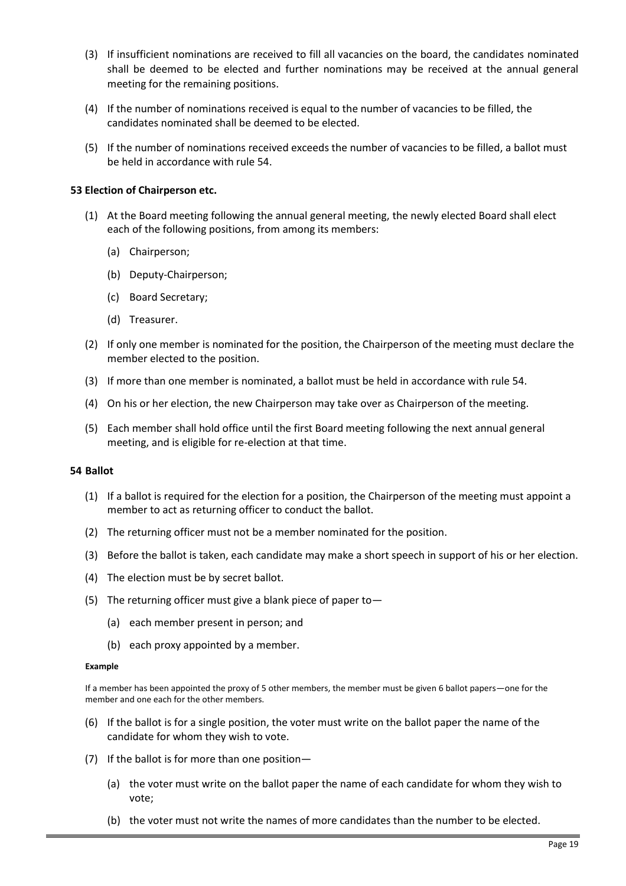- <span id="page-18-0"></span>(3) If insufficient nominations are received to fill all vacancies on the board, the candidates nominated shall be deemed to be elected and further nominations may be received at the annual general meeting for the remaining positions.
- (4) If the number of nominations received is equal to the number of vacancies to be filled, the candidates nominated shall be deemed to be elected.
- (5) If the number of nominations received exceeds the number of vacancies to be filled, a ballot must be held in accordance with rule 54.

## **53 Election of Chairperson etc.**

- (1) At the Board meeting following the annual general meeting, the newly elected Board shall elect each of the following positions, from among its members:
	- (a) Chairperson;
	- (b) Deputy-Chairperson;
	- (c) Board Secretary;
	- (d) Treasurer.
- (2) If only one member is nominated for the position, the Chairperson of the meeting must declare the member elected to the position.
- (3) If more than one member is nominated, a ballot must be held in accordance with rule 54.
- (4) On his or her election, the new Chairperson may take over as Chairperson of the meeting.
- (5) Each member shall hold office until the first Board meeting following the next annual general meeting, and is eligible for re-election at that time.

#### **54 Ballot**

- (1) If a ballot is required for the election for a position, the Chairperson of the meeting must appoint a member to act as returning officer to conduct the ballot.
- (2) The returning officer must not be a member nominated for the position.
- (3) Before the ballot is taken, each candidate may make a short speech in support of his or her election.
- (4) The election must be by secret ballot.
- (5) The returning officer must give a blank piece of paper to—
	- (a) each member present in person; and
	- (b) each proxy appointed by a member.

#### **Example**

If a member has been appointed the proxy of 5 other members, the member must be given 6 ballot papers—one for the member and one each for the other members.

- (6) If the ballot is for a single position, the voter must write on the ballot paper the name of the candidate for whom they wish to vote.
- (7) If the ballot is for more than one position—
	- (a) the voter must write on the ballot paper the name of each candidate for whom they wish to vote;
	- (b) the voter must not write the names of more candidates than the number to be elected.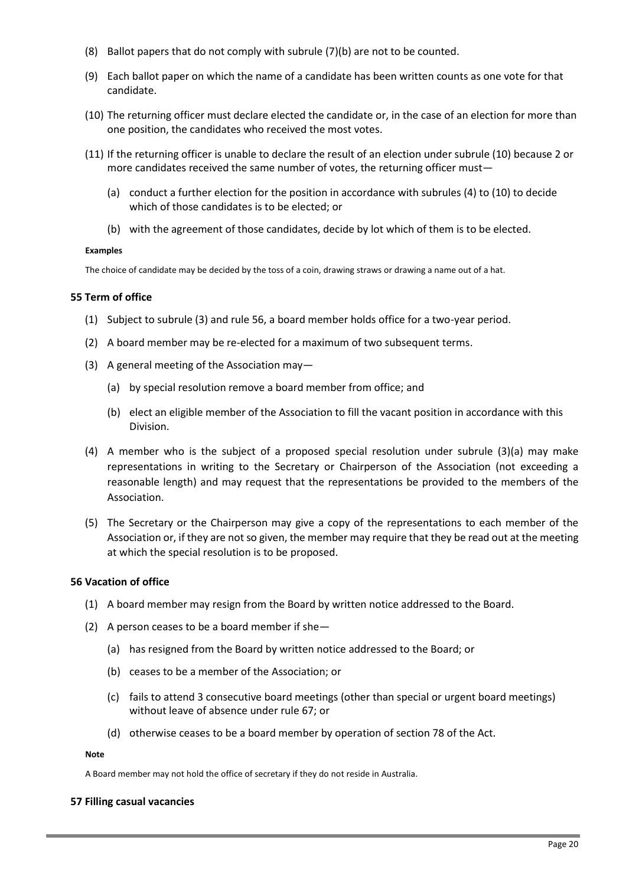- <span id="page-19-0"></span>(8) Ballot papers that do not comply with subrule (7)(b) are not to be counted.
- (9) Each ballot paper on which the name of a candidate has been written counts as one vote for that candidate.
- (10) The returning officer must declare elected the candidate or, in the case of an election for more than one position, the candidates who received the most votes.
- (11) If the returning officer is unable to declare the result of an election under subrule (10) because 2 or more candidates received the same number of votes, the returning officer must—
	- (a) conduct a further election for the position in accordance with subrules (4) to (10) to decide which of those candidates is to be elected; or
	- (b) with the agreement of those candidates, decide by lot which of them is to be elected.

#### **Examples**

The choice of candidate may be decided by the toss of a coin, drawing straws or drawing a name out of a hat.

## **55 Term of office**

- (1) Subject to subrule (3) and rule 56, a board member holds office for a two-year period.
- (2) A board member may be re-elected for a maximum of two subsequent terms.
- (3) A general meeting of the Association may—
	- (a) by special resolution remove a board member from office; and
	- (b) elect an eligible member of the Association to fill the vacant position in accordance with this Division.
- (4) A member who is the subject of a proposed special resolution under subrule (3)(a) may make representations in writing to the Secretary or Chairperson of the Association (not exceeding a reasonable length) and may request that the representations be provided to the members of the Association.
- (5) The Secretary or the Chairperson may give a copy of the representations to each member of the Association or, if they are not so given, the member may require that they be read out at the meeting at which the special resolution is to be proposed.

## **56 Vacation of office**

- (1) A board member may resign from the Board by written notice addressed to the Board.
- (2) A person ceases to be a board member if she—
	- (a) has resigned from the Board by written notice addressed to the Board; or
	- (b) ceases to be a member of the Association; or
	- (c) fails to attend 3 consecutive board meetings (other than special or urgent board meetings) without leave of absence under rule 67; or
	- (d) otherwise ceases to be a board member by operation of section 78 of the Act.

#### **Note**

A Board member may not hold the office of secretary if they do not reside in Australia.

## **57 Filling casual vacancies**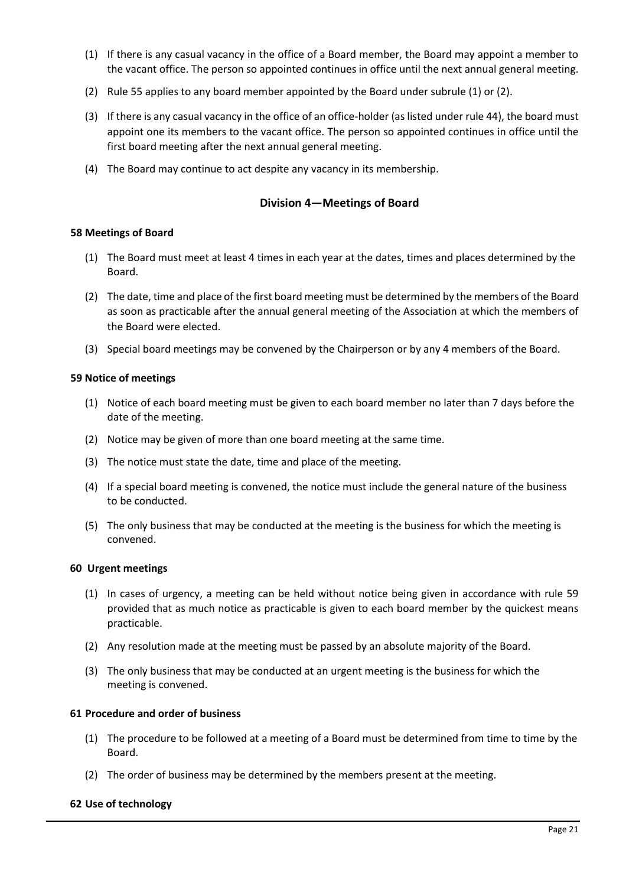- <span id="page-20-0"></span>(1) If there is any casual vacancy in the office of a Board member, the Board may appoint a member to the vacant office. The person so appointed continues in office until the next annual general meeting.
- (2) Rule 55 applies to any board member appointed by the Board under subrule (1) or (2).
- (3) If there is any casual vacancy in the office of an office-holder (as listed under rule 44), the board must appoint one its members to the vacant office. The person so appointed continues in office until the first board meeting after the next annual general meeting.
- (4) The Board may continue to act despite any vacancy in its membership.

## **Division 4—Meetings of Board**

## **58 Meetings of Board**

- (1) The Board must meet at least 4 times in each year at the dates, times and places determined by the Board.
- (2) The date, time and place of the first board meeting must be determined by the members of the Board as soon as practicable after the annual general meeting of the Association at which the members of the Board were elected.
- (3) Special board meetings may be convened by the Chairperson or by any 4 members of the Board.

## **59 Notice of meetings**

- (1) Notice of each board meeting must be given to each board member no later than 7 days before the date of the meeting.
- (2) Notice may be given of more than one board meeting at the same time.
- (3) The notice must state the date, time and place of the meeting.
- (4) If a special board meeting is convened, the notice must include the general nature of the business to be conducted.
- (5) The only business that may be conducted at the meeting is the business for which the meeting is convened.

## **60 Urgent meetings**

- (1) In cases of urgency, a meeting can be held without notice being given in accordance with rule 59 provided that as much notice as practicable is given to each board member by the quickest means practicable.
- (2) Any resolution made at the meeting must be passed by an absolute majority of the Board.
- (3) The only business that may be conducted at an urgent meeting is the business for which the meeting is convened.

## **61 Procedure and order of business**

- (1) The procedure to be followed at a meeting of a Board must be determined from time to time by the Board.
- (2) The order of business may be determined by the members present at the meeting.

## **62 Use of technology**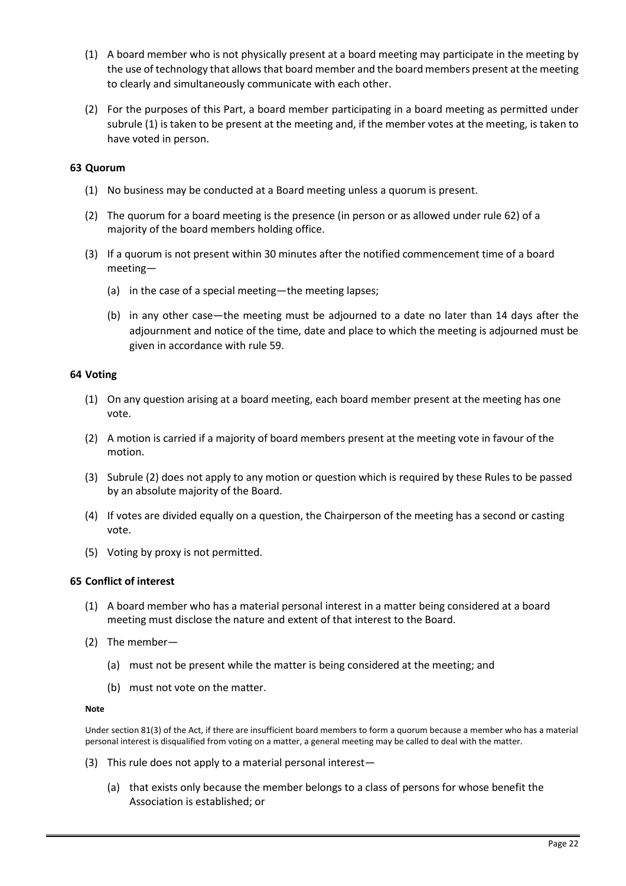- <span id="page-21-0"></span>(1) A board member who is not physically present at a board meeting may participate in the meeting by the use of technology that allows that board member and the board members present at the meeting to clearly and simultaneously communicate with each other.
- (2) For the purposes of this Part, a board member participating in a board meeting as permitted under subrule (1) is taken to be present at the meeting and, if the member votes at the meeting, is taken to have voted in person.

## **63 Quorum**

- (1) No business may be conducted at a Board meeting unless a quorum is present.
- (2) The quorum for a board meeting is the presence (in person or as allowed under rule 62) of a majority of the board members holding office.
- (3) If a quorum is not present within 30 minutes after the notified commencement time of a board meeting—
	- (a) in the case of a special meeting—the meeting lapses;
	- (b) in any other case—the meeting must be adjourned to a date no later than 14 days after the adjournment and notice of the time, date and place to which the meeting is adjourned must be given in accordance with rule 59.

#### **64 Voting**

- (1) On any question arising at a board meeting, each board member present at the meeting has one vote.
- (2) A motion is carried if a majority of board members present at the meeting vote in favour of the motion.
- (3) Subrule (2) does not apply to any motion or question which is required by these Rules to be passed by an absolute majority of the Board.
- (4) If votes are divided equally on a question, the Chairperson of the meeting has a second or casting vote.
- (5) Voting by proxy is not permitted.

## **65 Conflict of interest**

- (1) A board member who has a material personal interest in a matter being considered at a board meeting must disclose the nature and extent of that interest to the Board.
- (2) The member—
	- (a) must not be present while the matter is being considered at the meeting; and
	- (b) must not vote on the matter.

#### **Note**

Under section 81(3) of the Act, if there are insufficient board members to form a quorum because a member who has a material personal interest is disqualified from voting on a matter, a general meeting may be called to deal with the matter.

- (3) This rule does not apply to a material personal interest—
	- (a) that exists only because the member belongs to a class of persons for whose benefit the Association is established; or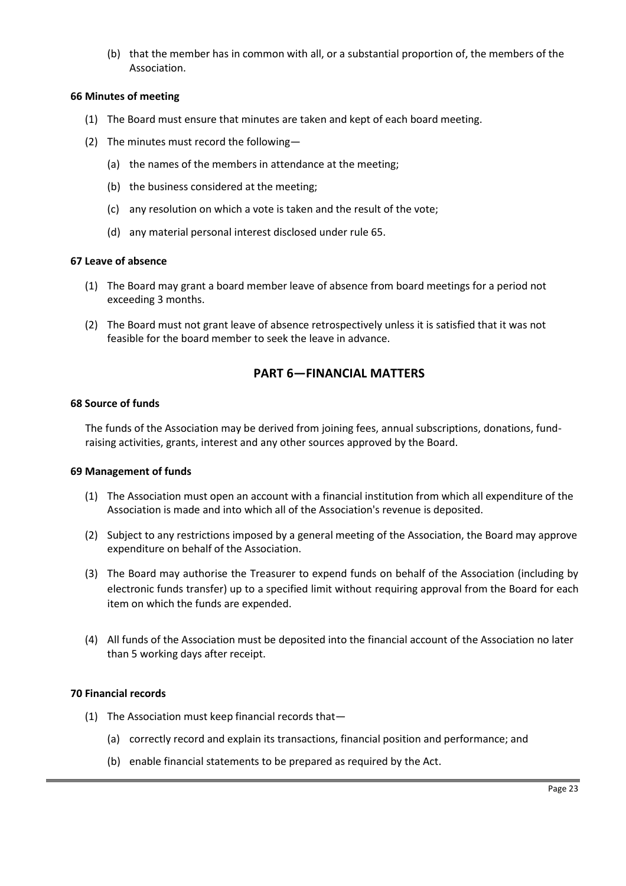<span id="page-22-0"></span>(b) that the member has in common with all, or a substantial proportion of, the members of the Association.

## **66 Minutes of meeting**

- (1) The Board must ensure that minutes are taken and kept of each board meeting.
- (2) The minutes must record the following—
	- (a) the names of the members in attendance at the meeting;
	- (b) the business considered at the meeting;
	- (c) any resolution on which a vote is taken and the result of the vote;
	- (d) any material personal interest disclosed under rule 65.

#### **67 Leave of absence**

- (1) The Board may grant a board member leave of absence from board meetings for a period not exceeding 3 months.
- (2) The Board must not grant leave of absence retrospectively unless it is satisfied that it was not feasible for the board member to seek the leave in advance.

# **PART 6—FINANCIAL MATTERS**

#### **68 Source of funds**

The funds of the Association may be derived from joining fees, annual subscriptions, donations, fundraising activities, grants, interest and any other sources approved by the Board.

#### **69 Management of funds**

- (1) The Association must open an account with a financial institution from which all expenditure of the Association is made and into which all of the Association's revenue is deposited.
- (2) Subject to any restrictions imposed by a general meeting of the Association, the Board may approve expenditure on behalf of the Association.
- (3) The Board may authorise the Treasurer to expend funds on behalf of the Association (including by electronic funds transfer) up to a specified limit without requiring approval from the Board for each item on which the funds are expended.
- (4) All funds of the Association must be deposited into the financial account of the Association no later than 5 working days after receipt.

## **70 Financial records**

- (1) The Association must keep financial records that—
	- (a) correctly record and explain its transactions, financial position and performance; and
	- (b) enable financial statements to be prepared as required by the Act.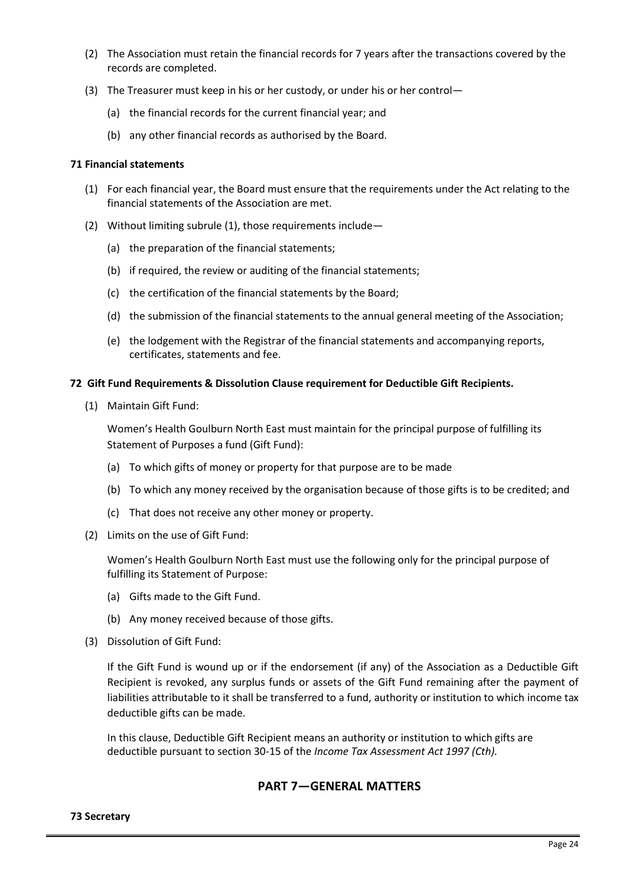- <span id="page-23-0"></span>(2) The Association must retain the financial records for 7 years after the transactions covered by the records are completed.
- (3) The Treasurer must keep in his or her custody, or under his or her control—
	- (a) the financial records for the current financial year; and
	- (b) any other financial records as authorised by the Board.

#### **71 Financial statements**

- (1) For each financial year, the Board must ensure that the requirements under the Act relating to the financial statements of the Association are met.
- (2) Without limiting subrule (1), those requirements include—
	- (a) the preparation of the financial statements;
	- (b) if required, the review or auditing of the financial statements;
	- (c) the certification of the financial statements by the Board;
	- (d) the submission of the financial statements to the annual general meeting of the Association;
	- (e) the lodgement with the Registrar of the financial statements and accompanying reports, certificates, statements and fee.

#### **72 Gift Fund Requirements & Dissolution Clause requirement for Deductible Gift Recipients.**

(1) Maintain Gift Fund:

Women's Health Goulburn North East must maintain for the principal purpose of fulfilling its Statement of Purposes a fund (Gift Fund):

- (a) To which gifts of money or property for that purpose are to be made
- (b) To which any money received by the organisation because of those gifts is to be credited; and
- (c) That does not receive any other money or property.
- (2) Limits on the use of Gift Fund:

Women's Health Goulburn North East must use the following only for the principal purpose of fulfilling its Statement of Purpose:

- (a) Gifts made to the Gift Fund.
- (b) Any money received because of those gifts.
- (3) Dissolution of Gift Fund:

If the Gift Fund is wound up or if the endorsement (if any) of the Association as a Deductible Gift Recipient is revoked, any surplus funds or assets of the Gift Fund remaining after the payment of liabilities attributable to it shall be transferred to a fund, authority or institution to which income tax deductible gifts can be made.

In this clause, Deductible Gift Recipient means an authority or institution to which gifts are deductible pursuant to section 30-15 of the *Income Tax Assessment Act 1997 (Cth).*

## **PART 7—GENERAL MATTERS**

#### **73 Secretary**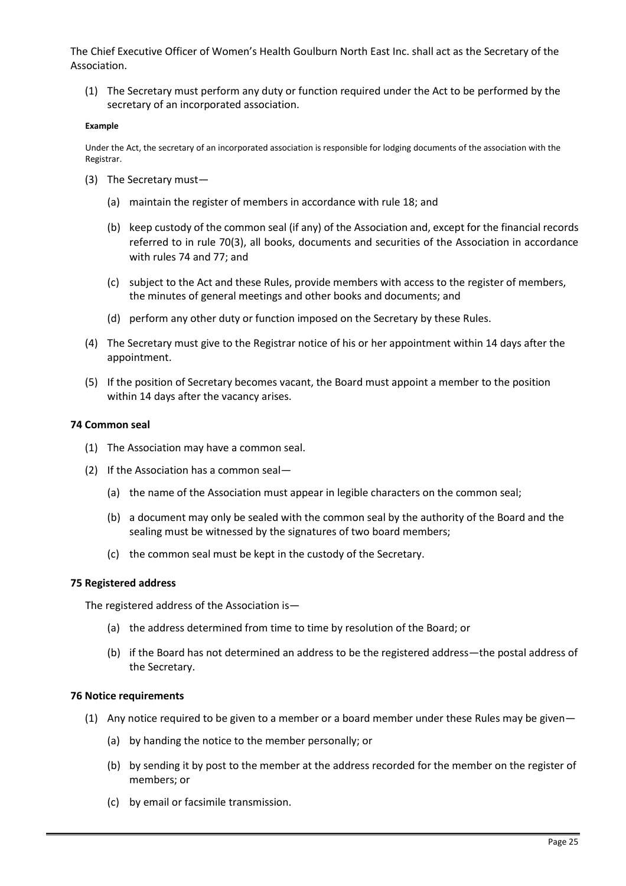<span id="page-24-0"></span>The Chief Executive Officer of Women's Health Goulburn North East Inc. shall act as the Secretary of the Association.

(1) The Secretary must perform any duty or function required under the Act to be performed by the secretary of an incorporated association.

#### **Example**

Under the Act, the secretary of an incorporated association is responsible for lodging documents of the association with the Registrar.

- (3) The Secretary must—
	- (a) maintain the register of members in accordance with rule 18; and
	- (b) keep custody of the common seal (if any) of the Association and, except for the financial records referred to in rule 70(3), all books, documents and securities of the Association in accordance with rules 74 and 77; and
	- (c) subject to the Act and these Rules, provide members with access to the register of members, the minutes of general meetings and other books and documents; and
	- (d) perform any other duty or function imposed on the Secretary by these Rules.
- (4) The Secretary must give to the Registrar notice of his or her appointment within 14 days after the appointment.
- (5) If the position of Secretary becomes vacant, the Board must appoint a member to the position within 14 days after the vacancy arises.

#### **74 Common seal**

- (1) The Association may have a common seal.
- (2) If the Association has a common seal—
	- (a) the name of the Association must appear in legible characters on the common seal;
	- (b) a document may only be sealed with the common seal by the authority of the Board and the sealing must be witnessed by the signatures of two board members;
	- (c) the common seal must be kept in the custody of the Secretary.

#### **75 Registered address**

The registered address of the Association is—

- (a) the address determined from time to time by resolution of the Board; or
- (b) if the Board has not determined an address to be the registered address—the postal address of the Secretary.

#### **76 Notice requirements**

- (1) Any notice required to be given to a member or a board member under these Rules may be given—
	- (a) by handing the notice to the member personally; or
	- (b) by sending it by post to the member at the address recorded for the member on the register of members; or
	- (c) by email or facsimile transmission.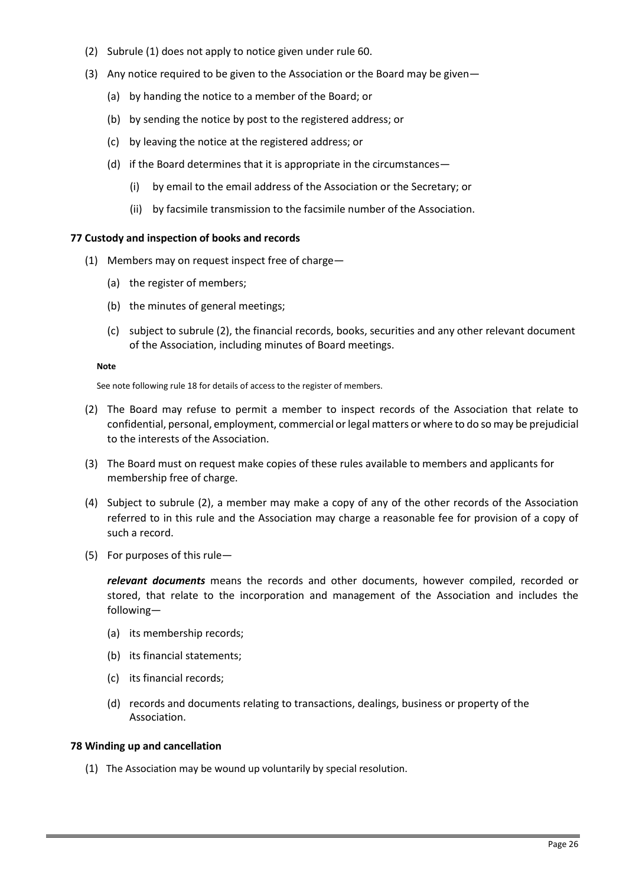- <span id="page-25-0"></span>(2) Subrule (1) does not apply to notice given under rule 60.
- (3) Any notice required to be given to the Association or the Board may be given—
	- (a) by handing the notice to a member of the Board; or
	- (b) by sending the notice by post to the registered address; or
	- (c) by leaving the notice at the registered address; or
	- (d) if the Board determines that it is appropriate in the circumstances—
		- (i) by email to the email address of the Association or the Secretary; or
		- (ii) by facsimile transmission to the facsimile number of the Association.

## **77 Custody and inspection of books and records**

- (1) Members may on request inspect free of charge—
	- (a) the register of members;
	- (b) the minutes of general meetings;
	- (c) subject to subrule (2), the financial records, books, securities and any other relevant document of the Association, including minutes of Board meetings.

#### **Note**

See note following rule 18 for details of access to the register of members.

- (2) The Board may refuse to permit a member to inspect records of the Association that relate to confidential, personal, employment, commercial or legal matters or where to do so may be prejudicial to the interests of the Association.
- (3) The Board must on request make copies of these rules available to members and applicants for membership free of charge.
- (4) Subject to subrule (2), a member may make a copy of any of the other records of the Association referred to in this rule and the Association may charge a reasonable fee for provision of a copy of such a record.
- (5) For purposes of this rule—

*relevant documents* means the records and other documents, however compiled, recorded or stored, that relate to the incorporation and management of the Association and includes the following—

- (a) its membership records;
- (b) its financial statements;
- (c) its financial records;
- (d) records and documents relating to transactions, dealings, business or property of the Association.

## **78 Winding up and cancellation**

(1) The Association may be wound up voluntarily by special resolution.